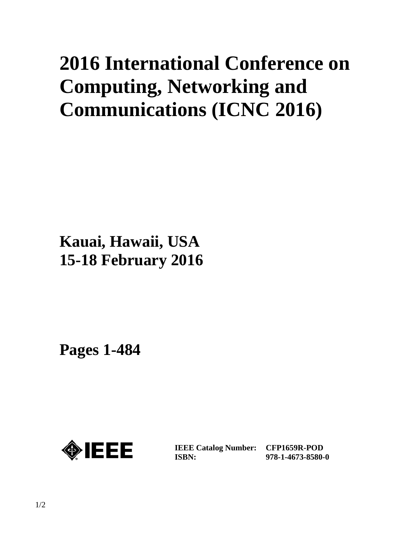# **2016 International Conference on Computing, Networking and Communications (ICNC 2016)**

### **Kauai, Hawaii, USA 15-18 February 2016**

**Pages 1-484** 



**IEEE Catalog Number: ISBN:** 

**CFP1659R-POD 978-1-4673-8580-0**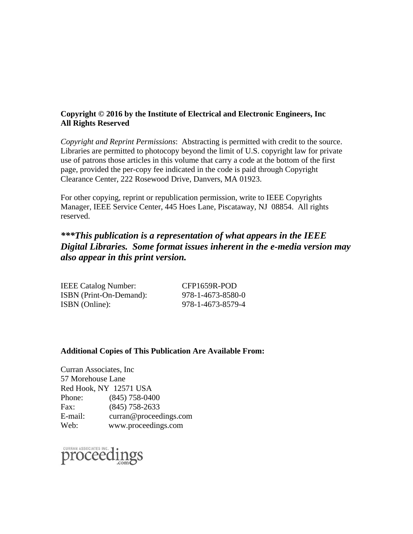#### **Copyright © 2016 by the Institute of Electrical and Electronic Engineers, Inc All Rights Reserved**

*Copyright and Reprint Permissions*: Abstracting is permitted with credit to the source. Libraries are permitted to photocopy beyond the limit of U.S. copyright law for private use of patrons those articles in this volume that carry a code at the bottom of the first page, provided the per-copy fee indicated in the code is paid through Copyright Clearance Center, 222 Rosewood Drive, Danvers, MA 01923.

For other copying, reprint or republication permission, write to IEEE Copyrights Manager, IEEE Service Center, 445 Hoes Lane, Piscataway, NJ 08854. All rights reserved.

#### *\*\*\*This publication is a representation of what appears in the IEEE Digital Libraries. Some format issues inherent in the e-media version may also appear in this print version.*

| <b>IEEE Catalog Number:</b> | CFP1659R-POD      |
|-----------------------------|-------------------|
| ISBN (Print-On-Demand):     | 978-1-4673-8580-0 |
| ISBN (Online):              | 978-1-4673-8579-4 |

#### **Additional Copies of This Publication Are Available From:**

Curran Associates, Inc 57 Morehouse Lane Red Hook, NY 12571 USA Phone: (845) 758-0400 Fax: (845) 758-2633 E-mail: curran@proceedings.com Web: www.proceedings.com

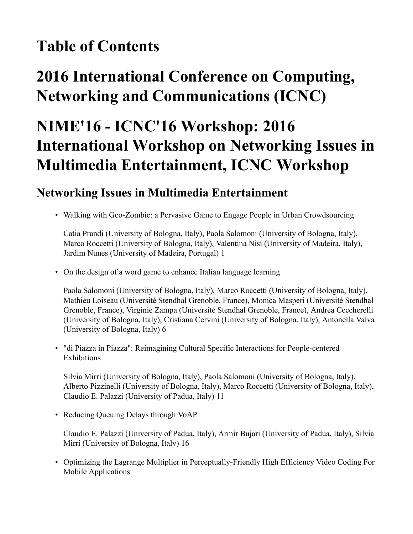#### **Table of Contents**

### **2016 International Conference on Computing, Networking and Communications (ICNC)**

### **NIME'16 - ICNC'16 Workshop: 2016 International Workshop on Networking Issues in Multimedia Entertainment, ICNC Workshop**

#### **Networking Issues in Multimedia Entertainment**

• Walking with Geo-Zombie: a Pervasive Game to Engage People in Urban Crowdsourcing

Catia Prandi (University of Bologna, Italy), Paola Salomoni (University of Bologna, Italy), Marco Roccetti (University of Bologna, Italy), Valentina Nisi (University of Madeira, Italy), Jardim Nunes (University of Madeira, Portugal) 1

• On the design of a word game to enhance Italian language learning

Paola Salomoni (University of Bologna, Italy), Marco Roccetti (University of Bologna, Italy), Mathieu Loiseau (Université Stendhal Grenoble, France), Monica Masperi (Université Stendhal Grenoble, France), Virginie Zampa (Université Stendhal Grenoble, France), Andrea Ceccherelli (University of Bologna, Italy), Cristiana Cervini (University of Bologna, Italy), Antonella Valva (University of Bologna, Italy) 6

• "di Piazza in Piazza": Reimagining Cultural Specific Interactions for People-centered **Exhibitions** 

Silvia Mirri (University of Bologna, Italy), Paola Salomoni (University of Bologna, Italy), Alberto Pizzinelli (University of Bologna, Italy), Marco Roccetti (University of Bologna, Italy), Claudio E. Palazzi (University of Padua, Italy) 11

• Reducing Queuing Delays through VoAP

Claudio E. Palazzi (University of Padua, Italy), Armir Bujari (University of Padua, Italy), Silvia Mirri (University of Bologna, Italy) 16

• Optimizing the Lagrange Multiplier in Perceptually-Friendly High Efficiency Video Coding For Mobile Applications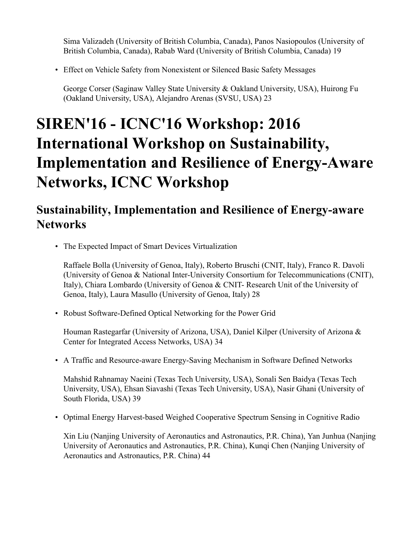Sima Valizadeh (University of British Columbia, Canada), Panos Nasiopoulos (University of British Columbia, Canada), Rabab Ward (University of British Columbia, Canada) 19

• Effect on Vehicle Safety from Nonexistent or Silenced Basic Safety Messages

George Corser (Saginaw Valley State University & Oakland University, USA), Huirong Fu (Oakland University, USA), Alejandro Arenas (SVSU, USA) 23

## **SIREN'16 - ICNC'16 Workshop: 2016 International Workshop on Sustainability, Implementation and Resilience of Energy-Aware Networks, ICNC Workshop**

#### **Sustainability, Implementation and Resilience of Energy-aware Networks**

• The Expected Impact of Smart Devices Virtualization

Raffaele Bolla (University of Genoa, Italy), Roberto Bruschi (CNIT, Italy), Franco R. Davoli (University of Genoa & National Inter-University Consortium for Telecommunications (CNIT), Italy), Chiara Lombardo (University of Genoa & CNIT- Research Unit of the University of Genoa, Italy), Laura Masullo (University of Genoa, Italy) 28

• Robust Software-Defined Optical Networking for the Power Grid

Houman Rastegarfar (University of Arizona, USA), Daniel Kilper (University of Arizona & Center for Integrated Access Networks, USA) 34

• A Traffic and Resource-aware Energy-Saving Mechanism in Software Defined Networks

Mahshid Rahnamay Naeini (Texas Tech University, USA), Sonali Sen Baidya (Texas Tech University, USA), Ehsan Siavashi (Texas Tech University, USA), Nasir Ghani (University of South Florida, USA) 39

• Optimal Energy Harvest-based Weighed Cooperative Spectrum Sensing in Cognitive Radio

Xin Liu (Nanjing University of Aeronautics and Astronautics, P.R. China), Yan Junhua (Nanjing University of Aeronautics and Astronautics, P.R. China), Kunqi Chen (Nanjing University of Aeronautics and Astronautics, P.R. China) 44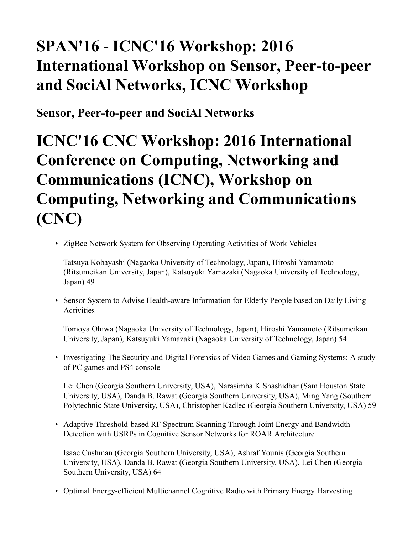### **SPAN'16 - ICNC'16 Workshop: 2016 International Workshop on Sensor, Peer-to-peer and SociAl Networks, ICNC Workshop**

**Sensor, Peer-to-peer and SociAl Networks**

**ICNC'16 CNC Workshop: 2016 International Conference on Computing, Networking and Communications (ICNC), Workshop on Computing, Networking and Communications (CNC)**

• ZigBee Network System for Observing Operating Activities of Work Vehicles

Tatsuya Kobayashi (Nagaoka University of Technology, Japan), Hiroshi Yamamoto (Ritsumeikan University, Japan), Katsuyuki Yamazaki (Nagaoka University of Technology, Japan) 49

• Sensor System to Advise Health-aware Information for Elderly People based on Daily Living **Activities** 

Tomoya Ohiwa (Nagaoka University of Technology, Japan), Hiroshi Yamamoto (Ritsumeikan University, Japan), Katsuyuki Yamazaki (Nagaoka University of Technology, Japan) 54

• Investigating The Security and Digital Forensics of Video Games and Gaming Systems: A study of PC games and PS4 console

Lei Chen (Georgia Southern University, USA), Narasimha K Shashidhar (Sam Houston State University, USA), Danda B. Rawat (Georgia Southern University, USA), Ming Yang (Southern Polytechnic State University, USA), Christopher Kadlec (Georgia Southern University, USA) 59

• Adaptive Threshold-based RF Spectrum Scanning Through Joint Energy and Bandwidth Detection with USRPs in Cognitive Sensor Networks for ROAR Architecture

Isaac Cushman (Georgia Southern University, USA), Ashraf Younis (Georgia Southern University, USA), Danda B. Rawat (Georgia Southern University, USA), Lei Chen (Georgia Southern University, USA) 64

• Optimal Energy-efficient Multichannel Cognitive Radio with Primary Energy Harvesting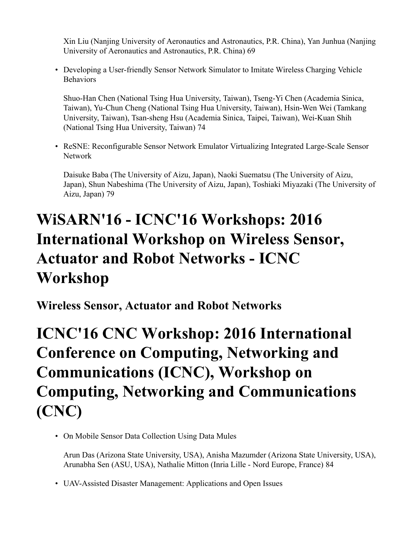Xin Liu (Nanjing University of Aeronautics and Astronautics, P.R. China), Yan Junhua (Nanjing University of Aeronautics and Astronautics, P.R. China) 69

• Developing a User-friendly Sensor Network Simulator to Imitate Wireless Charging Vehicle Behaviors

Shuo-Han Chen (National Tsing Hua University, Taiwan), Tseng-Yi Chen (Academia Sinica, Taiwan), Yu-Chun Cheng (National Tsing Hua University, Taiwan), Hsin-Wen Wei (Tamkang University, Taiwan), Tsan-sheng Hsu (Academia Sinica, Taipei, Taiwan), Wei-Kuan Shih (National Tsing Hua University, Taiwan) 74

• ReSNE: Reconfigurable Sensor Network Emulator Virtualizing Integrated Large-Scale Sensor Network

Daisuke Baba (The University of Aizu, Japan), Naoki Suematsu (The University of Aizu, Japan), Shun Nabeshima (The University of Aizu, Japan), Toshiaki Miyazaki (The University of Aizu, Japan) 79

## **WiSARN'16 - ICNC'16 Workshops: 2016 International Workshop on Wireless Sensor, Actuator and Robot Networks - ICNC Workshop**

**Wireless Sensor, Actuator and Robot Networks**

**ICNC'16 CNC Workshop: 2016 International Conference on Computing, Networking and Communications (ICNC), Workshop on Computing, Networking and Communications (CNC)**

• On Mobile Sensor Data Collection Using Data Mules

Arun Das (Arizona State University, USA), Anisha Mazumder (Arizona State University, USA), Arunabha Sen (ASU, USA), Nathalie Mitton (Inria Lille - Nord Europe, France) 84

• UAV-Assisted Disaster Management: Applications and Open Issues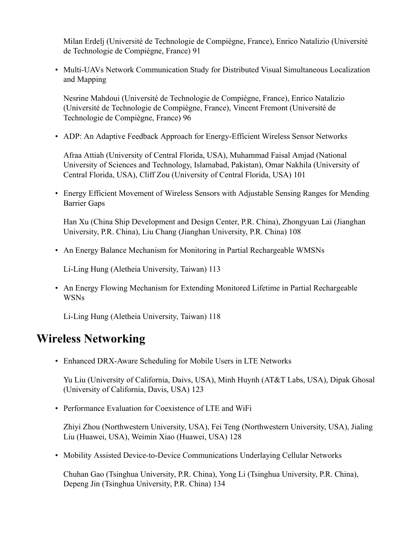Milan Erdelj (Université de Technologie de Compiègne, France), Enrico Natalizio (Université de Technologie de Compiègne, France) 91

• Multi-UAVs Network Communication Study for Distributed Visual Simultaneous Localization and Mapping

Nesrine Mahdoui (Université de Technologie de Compiègne, France), Enrico Natalizio (Université de Technologie de Compiègne, France), Vincent Fremont (Université de Technologie de Compiègne, France) 96

• ADP: An Adaptive Feedback Approach for Energy-Efficient Wireless Sensor Networks

Afraa Attiah (University of Central Florida, USA), Muhammad Faisal Amjad (National University of Sciences and Technology, Islamabad, Pakistan), Omar Nakhila (University of Central Florida, USA), Cliff Zou (University of Central Florida, USA) 101

• Energy Efficient Movement of Wireless Sensors with Adjustable Sensing Ranges for Mending Barrier Gaps

Han Xu (China Ship Development and Design Center, P.R. China), Zhongyuan Lai (Jianghan University, P.R. China), Liu Chang (Jianghan University, P.R. China) 108

• An Energy Balance Mechanism for Monitoring in Partial Rechargeable WMSNs

Li-Ling Hung (Aletheia University, Taiwan) 113

• An Energy Flowing Mechanism for Extending Monitored Lifetime in Partial Rechargeable WSNs

Li-Ling Hung (Aletheia University, Taiwan) 118

#### **Wireless Networking**

• Enhanced DRX-Aware Scheduling for Mobile Users in LTE Networks

Yu Liu (University of California, Daivs, USA), Minh Huynh (AT&T Labs, USA), Dipak Ghosal (University of California, Davis, USA) 123

• Performance Evaluation for Coexistence of LTE and WiFi

Zhiyi Zhou (Northwestern University, USA), Fei Teng (Northwestern University, USA), Jialing Liu (Huawei, USA), Weimin Xiao (Huawei, USA) 128

• Mobility Assisted Device-to-Device Communications Underlaying Cellular Networks

Chuhan Gao (Tsinghua University, P.R. China), Yong Li (Tsinghua University, P.R. China), Depeng Jin (Tsinghua University, P.R. China) 134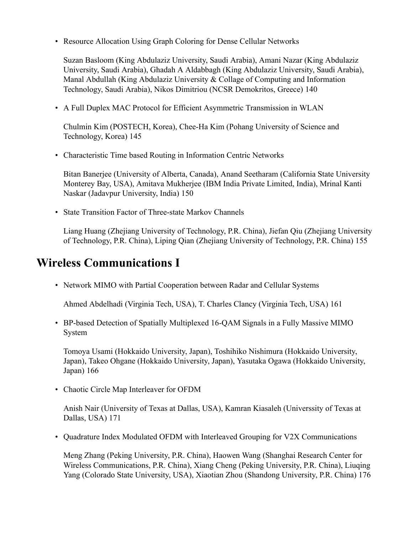• Resource Allocation Using Graph Coloring for Dense Cellular Networks

Suzan Basloom (King Abdulaziz University, Saudi Arabia), Amani Nazar (King Abdulaziz University, Saudi Arabia), Ghadah A Aldabbagh (King Abdulaziz University, Saudi Arabia), Manal Abdullah (King Abdulaziz University & Collage of Computing and Information Technology, Saudi Arabia), Nikos Dimitriou (NCSR Demokritos, Greece) 140

• A Full Duplex MAC Protocol for Efficient Asymmetric Transmission in WLAN

Chulmin Kim (POSTECH, Korea), Chee-Ha Kim (Pohang University of Science and Technology, Korea) 145

• Characteristic Time based Routing in Information Centric Networks

Bitan Banerjee (University of Alberta, Canada), Anand Seetharam (California State University Monterey Bay, USA), Amitava Mukherjee (IBM India Private Limited, India), Mrinal Kanti Naskar (Jadavpur University, India) 150

• State Transition Factor of Three-state Markov Channels

Liang Huang (Zhejiang University of Technology, P.R. China), Jiefan Qiu (Zhejiang University of Technology, P.R. China), Liping Qian (Zhejiang University of Technology, P.R. China) 155

#### **Wireless Communications I**

• Network MIMO with Partial Cooperation between Radar and Cellular Systems

Ahmed Abdelhadi (Virginia Tech, USA), T. Charles Clancy (Virginia Tech, USA) 161

• BP-based Detection of Spatially Multiplexed 16-QAM Signals in a Fully Massive MIMO System

Tomoya Usami (Hokkaido University, Japan), Toshihiko Nishimura (Hokkaido University, Japan), Takeo Ohgane (Hokkaido University, Japan), Yasutaka Ogawa (Hokkaido University, Japan) 166

• Chaotic Circle Map Interleaver for OFDM

Anish Nair (University of Texas at Dallas, USA), Kamran Kiasaleh (Universsity of Texas at Dallas, USA) 171

• Quadrature Index Modulated OFDM with Interleaved Grouping for V2X Communications

Meng Zhang (Peking University, P.R. China), Haowen Wang (Shanghai Research Center for Wireless Communications, P.R. China), Xiang Cheng (Peking University, P.R. China), Liuqing Yang (Colorado State University, USA), Xiaotian Zhou (Shandong University, P.R. China) 176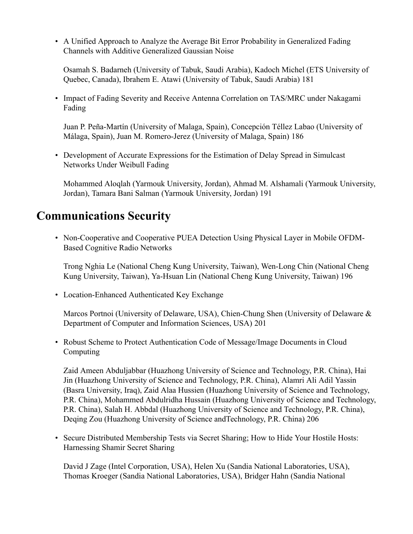• A Unified Approach to Analyze the Average Bit Error Probability in Generalized Fading Channels with Additive Generalized Gaussian Noise

Osamah S. Badarneh (University of Tabuk, Saudi Arabia), Kadoch Michel (ETS University of Quebec, Canada), Ibrahem E. Atawi (University of Tabuk, Saudi Arabia) 181

• Impact of Fading Severity and Receive Antenna Correlation on TAS/MRC under Nakagami Fading

Juan P. Peña-Martín (University of Malaga, Spain), Concepción Téllez Labao (University of Málaga, Spain), Juan M. Romero-Jerez (University of Malaga, Spain) 186

• Development of Accurate Expressions for the Estimation of Delay Spread in Simulcast Networks Under Weibull Fading

Mohammed Aloqlah (Yarmouk University, Jordan), Ahmad M. Alshamali (Yarmouk University, Jordan), Tamara Bani Salman (Yarmouk University, Jordan) 191

#### **Communications Security**

• Non-Cooperative and Cooperative PUEA Detection Using Physical Layer in Mobile OFDM-Based Cognitive Radio Networks

Trong Nghia Le (National Cheng Kung University, Taiwan), Wen-Long Chin (National Cheng Kung University, Taiwan), Ya-Hsuan Lin (National Cheng Kung University, Taiwan) 196

• Location-Enhanced Authenticated Key Exchange

Marcos Portnoi (University of Delaware, USA), Chien-Chung Shen (University of Delaware & Department of Computer and Information Sciences, USA) 201

• Robust Scheme to Protect Authentication Code of Message/Image Documents in Cloud Computing

Zaid Ameen Abduljabbar (Huazhong University of Science and Technology, P.R. China), Hai Jin (Huazhong University of Science and Technology, P.R. China), Alamri Ali Adil Yassin (Basra University, Iraq), Zaid Alaa Hussien (Huazhong University of Science and Technology, P.R. China), Mohammed Abdulridha Hussain (Huazhong University of Science and Technology, P.R. China), Salah H. Abbdal (Huazhong University of Science and Technology, P.R. China), Deqing Zou (Huazhong University of Science andTechnology, P.R. China) 206

• Secure Distributed Membership Tests via Secret Sharing; How to Hide Your Hostile Hosts: Harnessing Shamir Secret Sharing

David J Zage (Intel Corporation, USA), Helen Xu (Sandia National Laboratories, USA), Thomas Kroeger (Sandia National Laboratories, USA), Bridger Hahn (Sandia National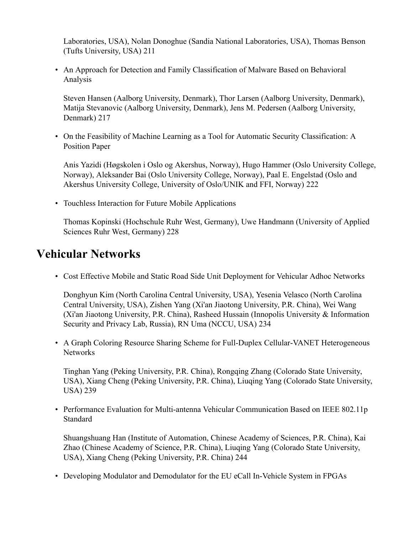Laboratories, USA), Nolan Donoghue (Sandia National Laboratories, USA), Thomas Benson (Tufts University, USA) 211

• An Approach for Detection and Family Classification of Malware Based on Behavioral Analysis

Steven Hansen (Aalborg University, Denmark), Thor Larsen (Aalborg University, Denmark), Matija Stevanovic (Aalborg University, Denmark), Jens M. Pedersen (Aalborg University, Denmark) 217

• On the Feasibility of Machine Learning as a Tool for Automatic Security Classification: A Position Paper

Anis Yazidi (Høgskolen i Oslo og Akershus, Norway), Hugo Hammer (Oslo University College, Norway), Aleksander Bai (Oslo University College, Norway), Paal E. Engelstad (Oslo and Akershus University College, University of Oslo/UNIK and FFI, Norway) 222

• Touchless Interaction for Future Mobile Applications

Thomas Kopinski (Hochschule Ruhr West, Germany), Uwe Handmann (University of Applied Sciences Ruhr West, Germany) 228

#### **Vehicular Networks**

• Cost Effective Mobile and Static Road Side Unit Deployment for Vehicular Adhoc Networks

Donghyun Kim (North Carolina Central University, USA), Yesenia Velasco (North Carolina Central University, USA), Zishen Yang (Xi'an Jiaotong University, P.R. China), Wei Wang (Xi'an Jiaotong University, P.R. China), Rasheed Hussain (Innopolis University & Information Security and Privacy Lab, Russia), RN Uma (NCCU, USA) 234

• A Graph Coloring Resource Sharing Scheme for Full-Duplex Cellular-VANET Heterogeneous Networks

Tinghan Yang (Peking University, P.R. China), Rongqing Zhang (Colorado State University, USA), Xiang Cheng (Peking University, P.R. China), Liuqing Yang (Colorado State University, USA) 239

• Performance Evaluation for Multi-antenna Vehicular Communication Based on IEEE 802.11p Standard

Shuangshuang Han (Institute of Automation, Chinese Academy of Sciences, P.R. China), Kai Zhao (Chinese Academy of Science, P.R. China), Liuqing Yang (Colorado State University, USA), Xiang Cheng (Peking University, P.R. China) 244

• Developing Modulator and Demodulator for the EU eCall In-Vehicle System in FPGAs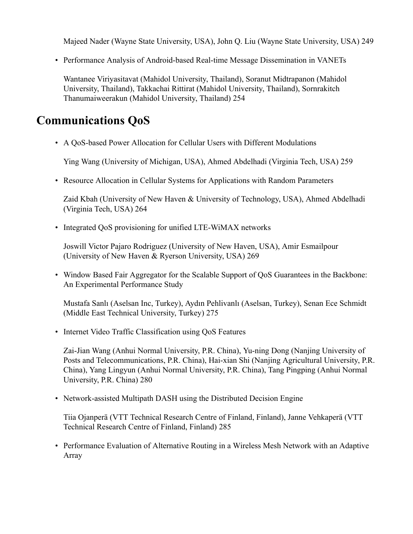Majeed Nader (Wayne State University, USA), John Q. Liu (Wayne State University, USA) 249

• Performance Analysis of Android-based Real-time Message Dissemination in VANETs

Wantanee Viriyasitavat (Mahidol University, Thailand), Soranut Midtrapanon (Mahidol University, Thailand), Takkachai Rittirat (Mahidol University, Thailand), Sornrakitch Thanumaiweerakun (Mahidol University, Thailand) 254

#### **Communications QoS**

• A QoS-based Power Allocation for Cellular Users with Different Modulations

Ying Wang (University of Michigan, USA), Ahmed Abdelhadi (Virginia Tech, USA) 259

• Resource Allocation in Cellular Systems for Applications with Random Parameters

Zaid Kbah (University of New Haven & University of Technology, USA), Ahmed Abdelhadi (Virginia Tech, USA) 264

• Integrated OoS provisioning for unified LTE-WiMAX networks

Joswill Victor Pajaro Rodriguez (University of New Haven, USA), Amir Esmailpour (University of New Haven & Ryerson University, USA) 269

• Window Based Fair Aggregator for the Scalable Support of QoS Guarantees in the Backbone: An Experimental Performance Study

Mustafa Sanlı (Aselsan Inc, Turkey), Aydın Pehlivanlı (Aselsan, Turkey), Senan Ece Schmidt (Middle East Technical University, Turkey) 275

• Internet Video Traffic Classification using QoS Features

Zai-Jian Wang (Anhui Normal University, P.R. China), Yu-ning Dong (Nanjing University of Posts and Telecommunications, P.R. China), Hai-xian Shi (Nanjing Agricultural University, P.R. China), Yang Lingyun (Anhui Normal University, P.R. China), Tang Pingping (Anhui Normal University, P.R. China) 280

• Network-assisted Multipath DASH using the Distributed Decision Engine

Tiia Ojanperä (VTT Technical Research Centre of Finland, Finland), Janne Vehkaperä (VTT Technical Research Centre of Finland, Finland) 285

• Performance Evaluation of Alternative Routing in a Wireless Mesh Network with an Adaptive Array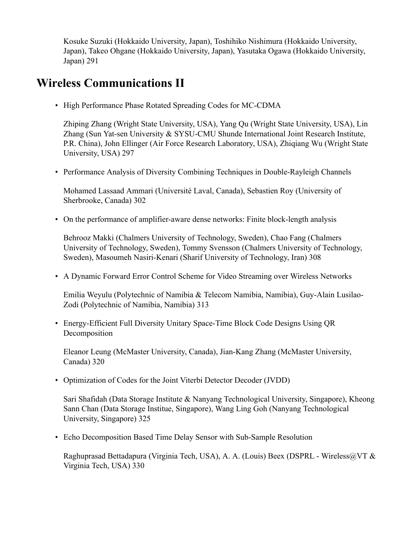Kosuke Suzuki (Hokkaido University, Japan), Toshihiko Nishimura (Hokkaido University, Japan), Takeo Ohgane (Hokkaido University, Japan), Yasutaka Ogawa (Hokkaido University, Japan) 291

#### **Wireless Communications II**

• High Performance Phase Rotated Spreading Codes for MC-CDMA

Zhiping Zhang (Wright State University, USA), Yang Qu (Wright State University, USA), Lin Zhang (Sun Yat-sen University & SYSU-CMU Shunde International Joint Research Institute, P.R. China), John Ellinger (Air Force Research Laboratory, USA), Zhiqiang Wu (Wright State University, USA) 297

• Performance Analysis of Diversity Combining Techniques in Double-Rayleigh Channels

Mohamed Lassaad Ammari (Université Laval, Canada), Sebastien Roy (University of Sherbrooke, Canada) 302

• On the performance of amplifier-aware dense networks: Finite block-length analysis

Behrooz Makki (Chalmers University of Technology, Sweden), Chao Fang (Chalmers University of Technology, Sweden), Tommy Svensson (Chalmers University of Technology, Sweden), Masoumeh Nasiri-Kenari (Sharif University of Technology, Iran) 308

• A Dynamic Forward Error Control Scheme for Video Streaming over Wireless Networks

Emilia Weyulu (Polytechnic of Namibia & Telecom Namibia, Namibia), Guy-Alain Lusilao-Zodi (Polytechnic of Namibia, Namibia) 313

• Energy-Efficient Full Diversity Unitary Space-Time Block Code Designs Using QR Decomposition

Eleanor Leung (McMaster University, Canada), Jian-Kang Zhang (McMaster University, Canada) 320

• Optimization of Codes for the Joint Viterbi Detector Decoder (JVDD)

Sari Shafidah (Data Storage Institute & Nanyang Technological University, Singapore), Kheong Sann Chan (Data Storage Institue, Singapore), Wang Ling Goh (Nanyang Technological University, Singapore) 325

• Echo Decomposition Based Time Delay Sensor with Sub-Sample Resolution

Raghuprasad Bettadapura (Virginia Tech, USA), A. A. (Louis) Beex (DSPRL - Wireless@VT & Virginia Tech, USA) 330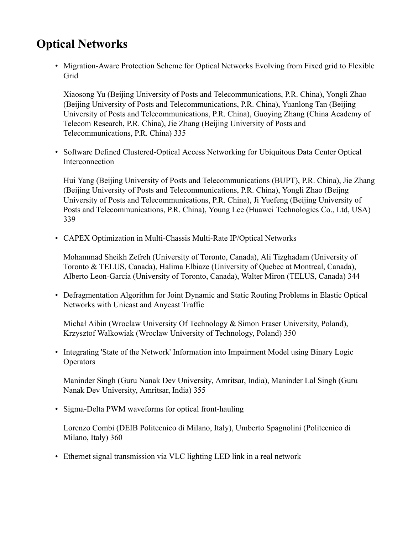#### **Optical Networks**

• Migration-Aware Protection Scheme for Optical Networks Evolving from Fixed grid to Flexible Grid

Xiaosong Yu (Beijing University of Posts and Telecommunications, P.R. China), Yongli Zhao (Beijing University of Posts and Telecommunications, P.R. China), Yuanlong Tan (Beijing University of Posts and Telecommunications, P.R. China), Guoying Zhang (China Academy of Telecom Research, P.R. China), Jie Zhang (Beijing University of Posts and Telecommunications, P.R. China) 335

• Software Defined Clustered-Optical Access Networking for Ubiquitous Data Center Optical Interconnection

Hui Yang (Beijing University of Posts and Telecommunications (BUPT), P.R. China), Jie Zhang (Beijing University of Posts and Telecommunications, P.R. China), Yongli Zhao (Beijng University of Posts and Telecommunications, P.R. China), Ji Yuefeng (Beijing University of Posts and Telecommunications, P.R. China), Young Lee (Huawei Technologies Co., Ltd, USA) 339

• CAPEX Optimization in Multi-Chassis Multi-Rate IP/Optical Networks

Mohammad Sheikh Zefreh (University of Toronto, Canada), Ali Tizghadam (University of Toronto & TELUS, Canada), Halima Elbiaze (University of Quebec at Montreal, Canada), Alberto Leon-Garcia (University of Toronto, Canada), Walter Miron (TELUS, Canada) 344

• Defragmentation Algorithm for Joint Dynamic and Static Routing Problems in Elastic Optical Networks with Unicast and Anycast Traffic

Michał Aibin (Wroclaw University Of Technology & Simon Fraser University, Poland), Krzysztof Walkowiak (Wroclaw University of Technology, Poland) 350

• Integrating 'State of the Network' Information into Impairment Model using Binary Logic **Operators** 

Maninder Singh (Guru Nanak Dev University, Amritsar, India), Maninder Lal Singh (Guru Nanak Dev University, Amritsar, India) 355

• Sigma-Delta PWM waveforms for optical front-hauling

Lorenzo Combi (DEIB Politecnico di Milano, Italy), Umberto Spagnolini (Politecnico di Milano, Italy) 360

• Ethernet signal transmission via VLC lighting LED link in a real network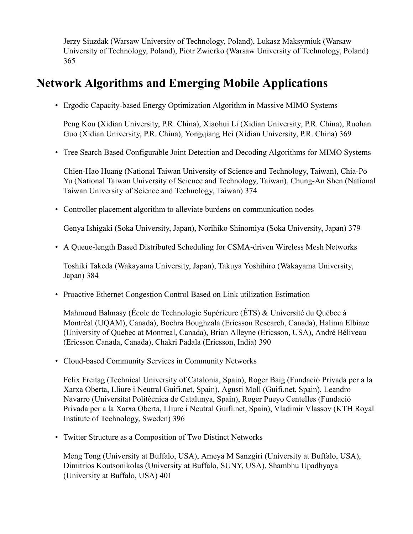Jerzy Siuzdak (Warsaw University of Technology, Poland), Lukasz Maksymiuk (Warsaw University of Technology, Poland), Piotr Zwierko (Warsaw University of Technology, Poland) 365

#### **Network Algorithms and Emerging Mobile Applications**

• Ergodic Capacity-based Energy Optimization Algorithm in Massive MIMO Systems

Peng Kou (Xidian University, P.R. China), Xiaohui Li (Xidian University, P.R. China), Ruohan Guo (Xidian University, P.R. China), Yongqiang Hei (Xidian University, P.R. China) 369

• Tree Search Based Configurable Joint Detection and Decoding Algorithms for MIMO Systems

Chien-Hao Huang (National Taiwan University of Science and Technology, Taiwan), Chia-Po Yu (National Taiwan University of Science and Technology, Taiwan), Chung-An Shen (National Taiwan University of Science and Technology, Taiwan) 374

• Controller placement algorithm to alleviate burdens on communication nodes

Genya Ishigaki (Soka University, Japan), Norihiko Shinomiya (Soka University, Japan) 379

• A Queue-length Based Distributed Scheduling for CSMA-driven Wireless Mesh Networks

Toshiki Takeda (Wakayama University, Japan), Takuya Yoshihiro (Wakayama University, Japan) 384

• Proactive Ethernet Congestion Control Based on Link utilization Estimation

Mahmoud Bahnasy (École de Technologie Supérieure (ÉTS) & Université du Québec à Montréal (UQAM), Canada), Bochra Boughzala (Ericsson Research, Canada), Halima Elbiaze (University of Quebec at Montreal, Canada), Brian Alleyne (Ericsson, USA), André Béliveau (Ericsson Canada, Canada), Chakri Padala (Ericsson, India) 390

• Cloud-based Community Services in Community Networks

Felix Freitag (Technical University of Catalonia, Spain), Roger Baig (Fundació Privada per a la Xarxa Oberta, Lliure i Neutral Guifi.net, Spain), Agusti Moll (Guifi.net, Spain), Leandro Navarro (Universitat Politècnica de Catalunya, Spain), Roger Pueyo Centelles (Fundació Privada per a la Xarxa Oberta, Lliure i Neutral Guifi.net, Spain), Vladimir Vlassov (KTH Royal Institute of Technology, Sweden) 396

• Twitter Structure as a Composition of Two Distinct Networks

Meng Tong (University at Buffalo, USA), Ameya M Sanzgiri (University at Buffalo, USA), Dimitrios Koutsonikolas (University at Buffalo, SUNY, USA), Shambhu Upadhyaya (University at Buffalo, USA) 401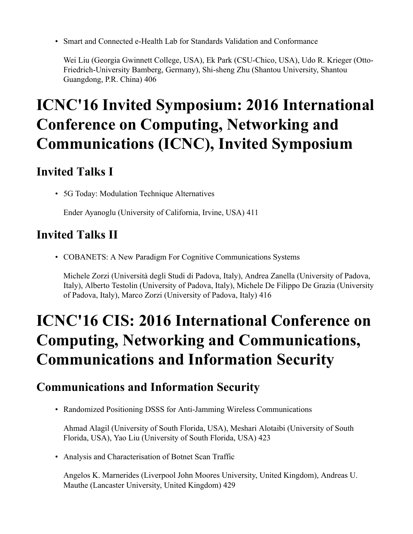• Smart and Connected e-Health Lab for Standards Validation and Conformance

Wei Liu (Georgia Gwinnett College, USA), Ek Park (CSU-Chico, USA), Udo R. Krieger (Otto-Friedrich-University Bamberg, Germany), Shi-sheng Zhu (Shantou University, Shantou Guangdong, P.R. China) 406

## **ICNC'16 Invited Symposium: 2016 International Conference on Computing, Networking and Communications (ICNC), Invited Symposium**

#### **Invited Talks I**

• 5G Today: Modulation Technique Alternatives

Ender Ayanoglu (University of California, Irvine, USA) 411

#### **Invited Talks II**

• COBANETS: A New Paradigm For Cognitive Communications Systems

Michele Zorzi (Università degli Studi di Padova, Italy), Andrea Zanella (University of Padova, Italy), Alberto Testolin (University of Padova, Italy), Michele De Filippo De Grazia (University of Padova, Italy), Marco Zorzi (University of Padova, Italy) 416

### **ICNC'16 CIS: 2016 International Conference on Computing, Networking and Communications, Communications and Information Security**

#### **Communications and Information Security**

• Randomized Positioning DSSS for Anti-Jamming Wireless Communications

Ahmad Alagil (University of South Florida, USA), Meshari Alotaibi (University of South Florida, USA), Yao Liu (University of South Florida, USA) 423

• Analysis and Characterisation of Botnet Scan Traffic

Angelos K. Marnerides (Liverpool John Moores University, United Kingdom), Andreas U. Mauthe (Lancaster University, United Kingdom) 429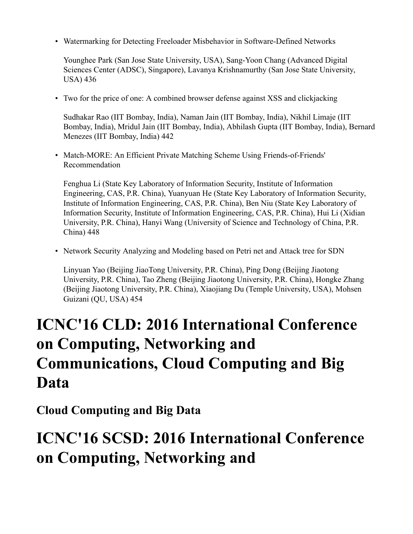• Watermarking for Detecting Freeloader Misbehavior in Software-Defined Networks

Younghee Park (San Jose State University, USA), Sang-Yoon Chang (Advanced Digital Sciences Center (ADSC), Singapore), Lavanya Krishnamurthy (San Jose State University, USA) 436

• Two for the price of one: A combined browser defense against XSS and clickjacking

Sudhakar Rao (IIT Bombay, India), Naman Jain (IIT Bombay, India), Nikhil Limaje (IIT Bombay, India), Mridul Jain (IIT Bombay, India), Abhilash Gupta (IIT Bombay, India), Bernard Menezes (IIT Bombay, India) 442

• Match-MORE: An Efficient Private Matching Scheme Using Friends-of-Friends' Recommendation

Fenghua Li (State Key Laboratory of Information Security, Institute of Information Engineering, CAS, P.R. China), Yuanyuan He (State Key Laboratory of Information Security, Institute of Information Engineering, CAS, P.R. China), Ben Niu (State Key Laboratory of Information Security, Institute of Information Engineering, CAS, P.R. China), Hui Li (Xidian University, P.R. China), Hanyi Wang (University of Science and Technology of China, P.R. China) 448

• Network Security Analyzing and Modeling based on Petri net and Attack tree for SDN

Linyuan Yao (Beijing JiaoTong University, P.R. China), Ping Dong (Beijing Jiaotong University, P.R. China), Tao Zheng (Beijing Jiaotong University, P.R. China), Hongke Zhang (Beijing Jiaotong University, P.R. China), Xiaojiang Du (Temple University, USA), Mohsen Guizani (QU, USA) 454

### **ICNC'16 CLD: 2016 International Conference on Computing, Networking and Communications, Cloud Computing and Big Data**

**Cloud Computing and Big Data**

#### **ICNC'16 SCSD: 2016 International Conference on Computing, Networking and**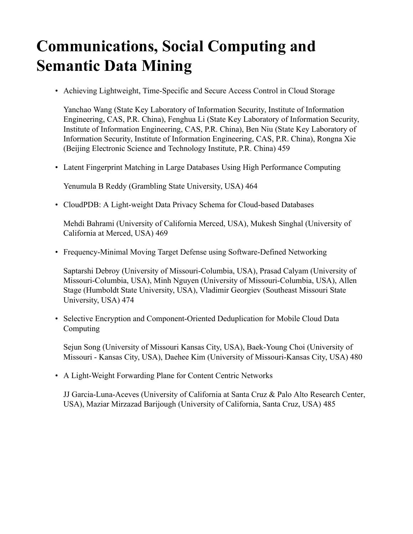### **Communications, Social Computing and Semantic Data Mining**

• Achieving Lightweight, Time-Specific and Secure Access Control in Cloud Storage

Yanchao Wang (State Key Laboratory of Information Security, Institute of Information Engineering, CAS, P.R. China), Fenghua Li (State Key Laboratory of Information Security, Institute of Information Engineering, CAS, P.R. China), Ben Niu (State Key Laboratory of Information Security, Institute of Information Engineering, CAS, P.R. China), Rongna Xie (Beijing Electronic Science and Technology Institute, P.R. China) 459

• Latent Fingerprint Matching in Large Databases Using High Performance Computing

Yenumula B Reddy (Grambling State University, USA) 464

• CloudPDB: A Light-weight Data Privacy Schema for Cloud-based Databases

Mehdi Bahrami (University of California Merced, USA), Mukesh Singhal (University of California at Merced, USA) 469

• Frequency-Minimal Moving Target Defense using Software-Defined Networking

Saptarshi Debroy (University of Missouri-Columbia, USA), Prasad Calyam (University of Missouri-Columbia, USA), Minh Nguyen (University of Missouri-Columbia, USA), Allen Stage (Humboldt State University, USA), Vladimir Georgiev (Southeast Missouri State University, USA) 474

• Selective Encryption and Component-Oriented Deduplication for Mobile Cloud Data Computing

Sejun Song (University of Missouri Kansas City, USA), Baek-Young Choi (University of Missouri - Kansas City, USA), Daehee Kim (University of Missouri-Kansas City, USA) 480

• A Light-Weight Forwarding Plane for Content Centric Networks

JJ Garcia-Luna-Aceves (University of California at Santa Cruz & Palo Alto Research Center, USA), Maziar Mirzazad Barijough (University of California, Santa Cruz, USA) 485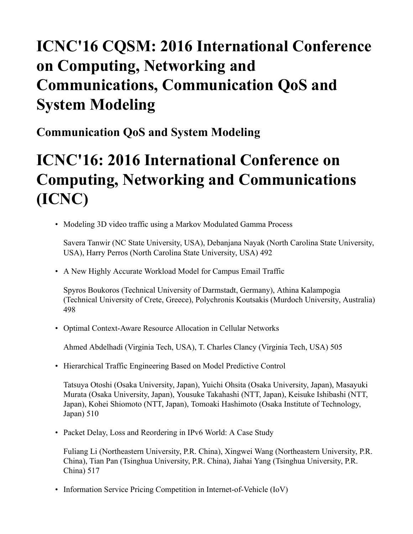### **ICNC'16 CQSM: 2016 International Conference on Computing, Networking and Communications, Communication QoS and System Modeling**

**Communication QoS and System Modeling**

### **ICNC'16: 2016 International Conference on Computing, Networking and Communications (ICNC)**

• Modeling 3D video traffic using a Markov Modulated Gamma Process

Savera Tanwir (NC State University, USA), Debanjana Nayak (North Carolina State University, USA), Harry Perros (North Carolina State University, USA) 492

• A New Highly Accurate Workload Model for Campus Email Traffic

Spyros Boukoros (Technical University of Darmstadt, Germany), Athina Kalampogia (Technical University of Crete, Greece), Polychronis Koutsakis (Murdoch University, Australia) 498

• Optimal Context-Aware Resource Allocation in Cellular Networks

Ahmed Abdelhadi (Virginia Tech, USA), T. Charles Clancy (Virginia Tech, USA) 505

• Hierarchical Traffic Engineering Based on Model Predictive Control

Tatsuya Otoshi (Osaka University, Japan), Yuichi Ohsita (Osaka University, Japan), Masayuki Murata (Osaka University, Japan), Yousuke Takahashi (NTT, Japan), Keisuke Ishibashi (NTT, Japan), Kohei Shiomoto (NTT, Japan), Tomoaki Hashimoto (Osaka Institute of Technology, Japan) 510

• Packet Delay, Loss and Reordering in IPv6 World: A Case Study

Fuliang Li (Northeastern University, P.R. China), Xingwei Wang (Northeastern University, P.R. China), Tian Pan (Tsinghua University, P.R. China), Jiahai Yang (Tsinghua University, P.R. China) 517

• Information Service Pricing Competition in Internet-of-Vehicle (IoV)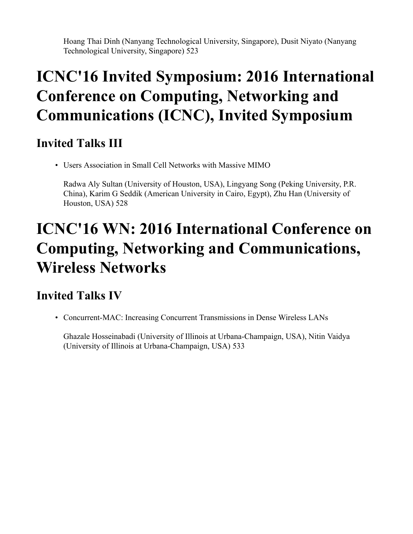Hoang Thai Dinh (Nanyang Technological University, Singapore), Dusit Niyato (Nanyang Technological University, Singapore) 523

### **ICNC'16 Invited Symposium: 2016 International Conference on Computing, Networking and Communications (ICNC), Invited Symposium**

#### **Invited Talks III**

• Users Association in Small Cell Networks with Massive MIMO

Radwa Aly Sultan (University of Houston, USA), Lingyang Song (Peking University, P.R. China), Karim G Seddik (American University in Cairo, Egypt), Zhu Han (University of Houston, USA) 528

### **ICNC'16 WN: 2016 International Conference on Computing, Networking and Communications, Wireless Networks**

#### **Invited Talks IV**

• Concurrent-MAC: Increasing Concurrent Transmissions in Dense Wireless LANs

Ghazale Hosseinabadi (University of Illinois at Urbana-Champaign, USA), Nitin Vaidya (University of Illinois at Urbana-Champaign, USA) 533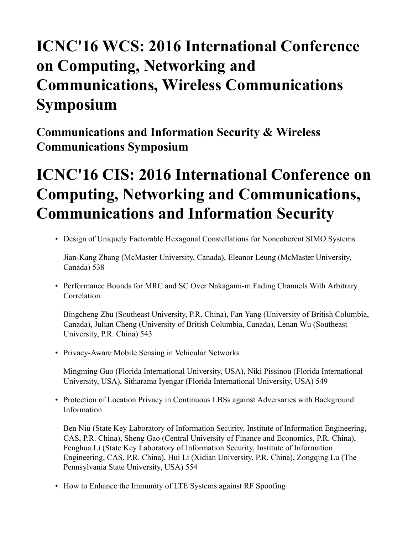### **ICNC'16 WCS: 2016 International Conference on Computing, Networking and Communications, Wireless Communications Symposium**

**Communications and Information Security & Wireless Communications Symposium**

### **ICNC'16 CIS: 2016 International Conference on Computing, Networking and Communications, Communications and Information Security**

• Design of Uniquely Factorable Hexagonal Constellations for Noncoherent SIMO Systems

Jian-Kang Zhang (McMaster University, Canada), Eleanor Leung (McMaster University, Canada) 538

• Performance Bounds for MRC and SC Over Nakagami-m Fading Channels With Arbitrary **Correlation** 

Bingcheng Zhu (Southeast University, P.R. China), Fan Yang (University of British Columbia, Canada), Julian Cheng (University of British Columbia, Canada), Lenan Wu (Southeast University, P.R. China) 543

• Privacy-Aware Mobile Sensing in Vehicular Networks

Mingming Guo (Florida International University, USA), Niki Pissinou (Florida International University, USA), Sitharama Iyengar (Florida International University, USA) 549

• Protection of Location Privacy in Continuous LBSs against Adversaries with Background Information

Ben Niu (State Key Laboratory of Information Security, Institute of Information Engineering, CAS, P.R. China), Sheng Gao (Central University of Finance and Economics, P.R. China), Fenghua Li (State Key Laboratory of Information Security, Institute of Information Engineering, CAS, P.R. China), Hui Li (Xidian University, P.R. China), Zongqing Lu (The Pennsylvania State University, USA) 554

• How to Enhance the Immunity of LTE Systems against RF Spoofing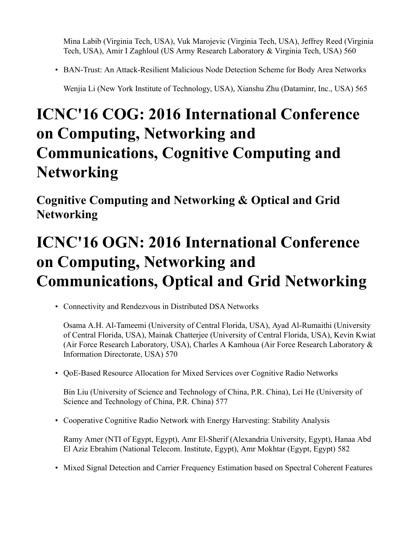Mina Labib (Virginia Tech, USA), Vuk Marojevic (Virginia Tech, USA), Jeffrey Reed (Virginia Tech, USA), Amir I Zaghloul (US Army Research Laboratory & Virginia Tech, USA) 560

• BAN-Trust: An Attack-Resilient Malicious Node Detection Scheme for Body Area Networks

Wenjia Li (New York Institute of Technology, USA), Xianshu Zhu (Dataminr, Inc., USA) 565

### **ICNC'16 COG: 2016 International Conference on Computing, Networking and Communications, Cognitive Computing and Networking**

**Cognitive Computing and Networking & Optical and Grid Networking**

## **ICNC'16 OGN: 2016 International Conference on Computing, Networking and Communications, Optical and Grid Networking**

• Connectivity and Rendezvous in Distributed DSA Networks

Osama A.H. Al-Tameemi (University of Central Florida, USA), Ayad Al-Rumaithi (University of Central Florida, USA), Mainak Chatterjee (University of Central Florida, USA), Kevin Kwiat (Air Force Research Laboratory, USA), Charles A Kamhoua (Air Force Research Laboratory & Information Directorate, USA) 570

• QoE-Based Resource Allocation for Mixed Services over Cognitive Radio Networks

Bin Liu (University of Science and Technology of China, P.R. China), Lei He (University of Science and Technology of China, P.R. China) 577

• Cooperative Cognitive Radio Network with Energy Harvesting: Stability Analysis

Ramy Amer (NTI of Egypt, Egypt), Amr El-Sherif (Alexandria University, Egypt), Hanaa Abd El Aziz Ebrahim (National Telecom. Institute, Egypt), Amr Mokhtar (Egypt, Egypt) 582

• Mixed Signal Detection and Carrier Frequency Estimation based on Spectral Coherent Features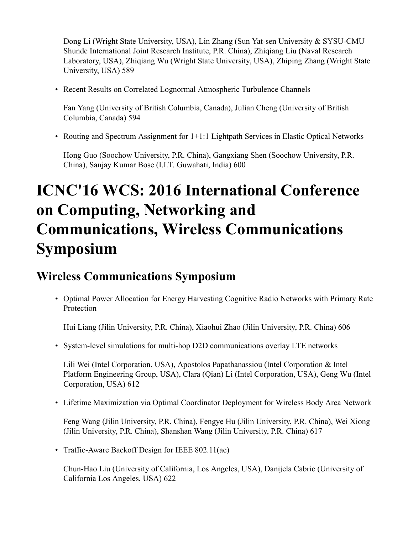Dong Li (Wright State University, USA), Lin Zhang (Sun Yat-sen University & SYSU-CMU Shunde International Joint Research Institute, P.R. China), Zhiqiang Liu (Naval Research Laboratory, USA), Zhiqiang Wu (Wright State University, USA), Zhiping Zhang (Wright State University, USA) 589

• Recent Results on Correlated Lognormal Atmospheric Turbulence Channels

Fan Yang (University of British Columbia, Canada), Julian Cheng (University of British Columbia, Canada) 594

• Routing and Spectrum Assignment for 1+1:1 Lightpath Services in Elastic Optical Networks

Hong Guo (Soochow University, P.R. China), Gangxiang Shen (Soochow University, P.R. China), Sanjay Kumar Bose (I.I.T. Guwahati, India) 600

### **ICNC'16 WCS: 2016 International Conference on Computing, Networking and Communications, Wireless Communications Symposium**

#### **Wireless Communications Symposium**

• Optimal Power Allocation for Energy Harvesting Cognitive Radio Networks with Primary Rate Protection

Hui Liang (Jilin University, P.R. China), Xiaohui Zhao (Jilin University, P.R. China) 606

• System-level simulations for multi-hop D2D communications overlay LTE networks

Lili Wei (Intel Corporation, USA), Apostolos Papathanassiou (Intel Corporation & Intel Platform Engineering Group, USA), Clara (Qian) Li (Intel Corporation, USA), Geng Wu (Intel Corporation, USA) 612

• Lifetime Maximization via Optimal Coordinator Deployment for Wireless Body Area Network

Feng Wang (Jilin University, P.R. China), Fengye Hu (Jilin University, P.R. China), Wei Xiong (Jilin University, P.R. China), Shanshan Wang (Jilin University, P.R. China) 617

• Traffic-Aware Backoff Design for IEEE 802.11(ac)

Chun-Hao Liu (University of California, Los Angeles, USA), Danijela Cabric (University of California Los Angeles, USA) 622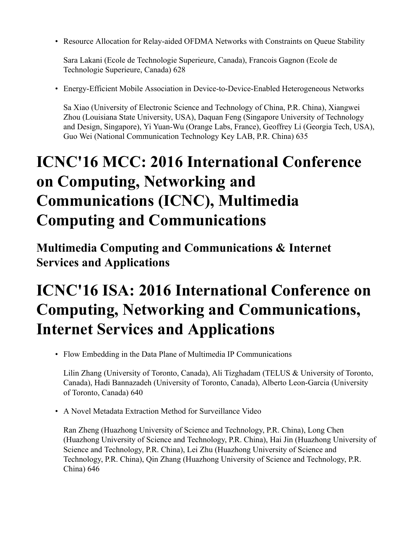• Resource Allocation for Relay-aided OFDMA Networks with Constraints on Queue Stability

Sara Lakani (Ecole de Technologie Superieure, Canada), Francois Gagnon (Ecole de Technologie Superieure, Canada) 628

• Energy-Efficient Mobile Association in Device-to-Device-Enabled Heterogeneous Networks

Sa Xiao (University of Electronic Science and Technology of China, P.R. China), Xiangwei Zhou (Louisiana State University, USA), Daquan Feng (Singapore University of Technology and Design, Singapore), Yi Yuan-Wu (Orange Labs, France), Geoffrey Li (Georgia Tech, USA), Guo Wei (National Communication Technology Key LAB, P.R. China) 635

### **ICNC'16 MCC: 2016 International Conference on Computing, Networking and Communications (ICNC), Multimedia Computing and Communications**

**Multimedia Computing and Communications & Internet Services and Applications**

### **ICNC'16 ISA: 2016 International Conference on Computing, Networking and Communications, Internet Services and Applications**

• Flow Embedding in the Data Plane of Multimedia IP Communications

Lilin Zhang (University of Toronto, Canada), Ali Tizghadam (TELUS & University of Toronto, Canada), Hadi Bannazadeh (University of Toronto, Canada), Alberto Leon-Garcia (University of Toronto, Canada) 640

• A Novel Metadata Extraction Method for Surveillance Video

Ran Zheng (Huazhong University of Science and Technology, P.R. China), Long Chen (Huazhong University of Science and Technology, P.R. China), Hai Jin (Huazhong University of Science and Technology, P.R. China), Lei Zhu (Huazhong University of Science and Technology, P.R. China), Qin Zhang (Huazhong University of Science and Technology, P.R. China) 646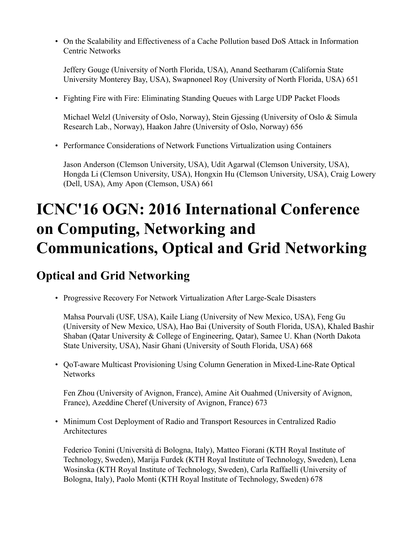• On the Scalability and Effectiveness of a Cache Pollution based DoS Attack in Information Centric Networks

Jeffery Gouge (University of North Florida, USA), Anand Seetharam (California State University Monterey Bay, USA), Swapnoneel Roy (University of North Florida, USA) 651

• Fighting Fire with Fire: Eliminating Standing Queues with Large UDP Packet Floods

Michael Welzl (University of Oslo, Norway), Stein Gjessing (University of Oslo & Simula Research Lab., Norway), Haakon Jahre (University of Oslo, Norway) 656

• Performance Considerations of Network Functions Virtualization using Containers

Jason Anderson (Clemson University, USA), Udit Agarwal (Clemson University, USA), Hongda Li (Clemson University, USA), Hongxin Hu (Clemson University, USA), Craig Lowery (Dell, USA), Amy Apon (Clemson, USA) 661

### **ICNC'16 OGN: 2016 International Conference on Computing, Networking and Communications, Optical and Grid Networking**

#### **Optical and Grid Networking**

• Progressive Recovery For Network Virtualization After Large-Scale Disasters

Mahsa Pourvali (USF, USA), Kaile Liang (University of New Mexico, USA), Feng Gu (University of New Mexico, USA), Hao Bai (University of South Florida, USA), Khaled Bashir Shaban (Qatar University & College of Engineering, Qatar), Samee U. Khan (North Dakota State University, USA), Nasir Ghani (University of South Florida, USA) 668

• QoT-aware Multicast Provisioning Using Column Generation in Mixed-Line-Rate Optical **Networks** 

Fen Zhou (University of Avignon, France), Amine Ait Ouahmed (University of Avignon, France), Azeddine Cheref (University of Avignon, France) 673

• Minimum Cost Deployment of Radio and Transport Resources in Centralized Radio Architectures

Federico Tonini (Università di Bologna, Italy), Matteo Fiorani (KTH Royal Institute of Technology, Sweden), Marija Furdek (KTH Royal Institute of Technology, Sweden), Lena Wosinska (KTH Royal Institute of Technology, Sweden), Carla Raffaelli (University of Bologna, Italy), Paolo Monti (KTH Royal Institute of Technology, Sweden) 678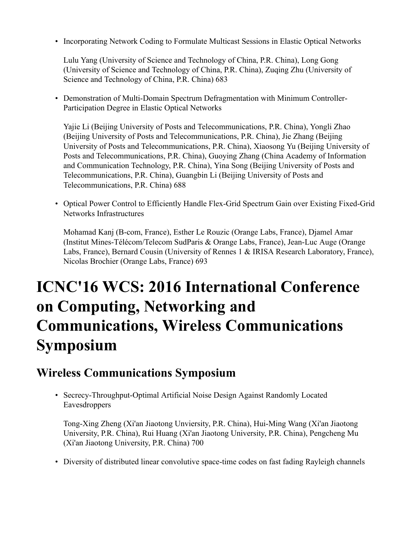• Incorporating Network Coding to Formulate Multicast Sessions in Elastic Optical Networks

Lulu Yang (University of Science and Technology of China, P.R. China), Long Gong (University of Science and Technology of China, P.R. China), Zuqing Zhu (University of Science and Technology of China, P.R. China) 683

• Demonstration of Multi-Domain Spectrum Defragmentation with Minimum Controller-Participation Degree in Elastic Optical Networks

Yajie Li (Beijing University of Posts and Telecommunications, P.R. China), Yongli Zhao (Beijing University of Posts and Telecommunications, P.R. China), Jie Zhang (Beijing University of Posts and Telecommunications, P.R. China), Xiaosong Yu (Beijing University of Posts and Telecommunications, P.R. China), Guoying Zhang (China Academy of Information and Communication Technology, P.R. China), Yina Song (Beijing University of Posts and Telecommunications, P.R. China), Guangbin Li (Beijing University of Posts and Telecommunications, P.R. China) 688

• Optical Power Control to Efficiently Handle Flex-Grid Spectrum Gain over Existing Fixed-Grid Networks Infrastructures

Mohamad Kanj (B-com, France), Esther Le Rouzic (Orange Labs, France), Djamel Amar (Institut Mines-Télécom/Telecom SudParis & Orange Labs, France), Jean-Luc Auge (Orange Labs, France), Bernard Cousin (University of Rennes 1 & IRISA Research Laboratory, France), Nicolas Brochier (Orange Labs, France) 693

### **ICNC'16 WCS: 2016 International Conference on Computing, Networking and Communications, Wireless Communications Symposium**

#### **Wireless Communications Symposium**

• Secrecy-Throughput-Optimal Artificial Noise Design Against Randomly Located Eavesdroppers

Tong-Xing Zheng (Xi'an Jiaotong Unviersity, P.R. China), Hui-Ming Wang (Xi'an Jiaotong University, P.R. China), Rui Huang (Xi'an Jiaotong University, P.R. China), Pengcheng Mu (Xi'an Jiaotong University, P.R. China) 700

• Diversity of distributed linear convolutive space-time codes on fast fading Rayleigh channels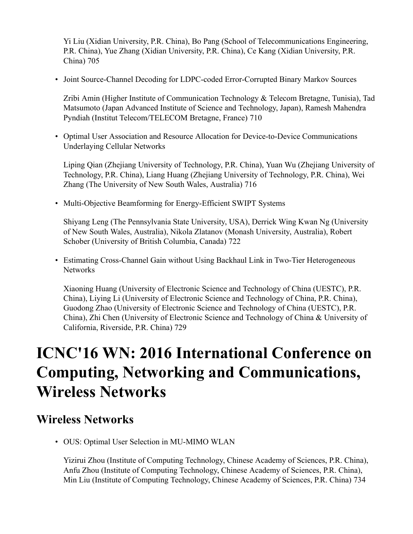Yi Liu (Xidian University, P.R. China), Bo Pang (School of Telecommunications Engineering, P.R. China), Yue Zhang (Xidian University, P.R. China), Ce Kang (Xidian University, P.R. China) 705

• Joint Source-Channel Decoding for LDPC-coded Error-Corrupted Binary Markov Sources

Zribi Amin (Higher Institute of Communication Technology & Telecom Bretagne, Tunisia), Tad Matsumoto (Japan Advanced Institute of Science and Technology, Japan), Ramesh Mahendra Pyndiah (Institut Telecom/TELECOM Bretagne, France) 710

• Optimal User Association and Resource Allocation for Device-to-Device Communications Underlaying Cellular Networks

Liping Qian (Zhejiang University of Technology, P.R. China), Yuan Wu (Zhejiang University of Technology, P.R. China), Liang Huang (Zhejiang University of Technology, P.R. China), Wei Zhang (The University of New South Wales, Australia) 716

• Multi-Objective Beamforming for Energy-Efficient SWIPT Systems

Shiyang Leng (The Pennsylvania State University, USA), Derrick Wing Kwan Ng (University of New South Wales, Australia), Nikola Zlatanov (Monash University, Australia), Robert Schober (University of British Columbia, Canada) 722

• Estimating Cross-Channel Gain without Using Backhaul Link in Two-Tier Heterogeneous **Networks** 

Xiaoning Huang (University of Electronic Science and Technology of China (UESTC), P.R. China), Liying Li (University of Electronic Science and Technology of China, P.R. China), Guodong Zhao (University of Electronic Science and Technology of China (UESTC), P.R. China), Zhi Chen (University of Electronic Science and Technology of China & University of California, Riverside, P.R. China) 729

#### **ICNC'16 WN: 2016 International Conference on Computing, Networking and Communications, Wireless Networks**

#### **Wireless Networks**

• OUS: Optimal User Selection in MU-MIMO WLAN

Yizirui Zhou (Institute of Computing Technology, Chinese Academy of Sciences, P.R. China), Anfu Zhou (Institute of Computing Technology, Chinese Academy of Sciences, P.R. China), Min Liu (Institute of Computing Technology, Chinese Academy of Sciences, P.R. China) 734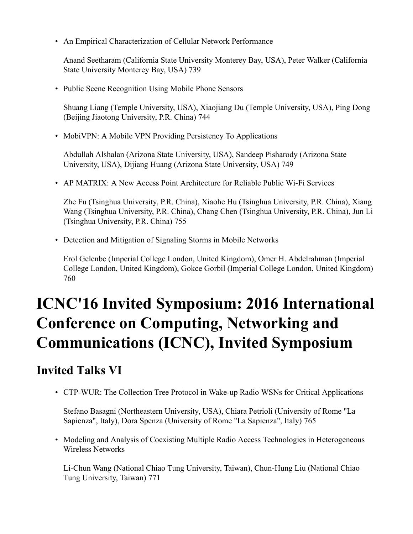• An Empirical Characterization of Cellular Network Performance

Anand Seetharam (California State University Monterey Bay, USA), Peter Walker (California State University Monterey Bay, USA) 739

• Public Scene Recognition Using Mobile Phone Sensors

Shuang Liang (Temple University, USA), Xiaojiang Du (Temple University, USA), Ping Dong (Beijing Jiaotong University, P.R. China) 744

• MobiVPN: A Mobile VPN Providing Persistency To Applications

Abdullah Alshalan (Arizona State University, USA), Sandeep Pisharody (Arizona State University, USA), Dijiang Huang (Arizona State University, USA) 749

• AP MATRIX: A New Access Point Architecture for Reliable Public Wi-Fi Services

Zhe Fu (Tsinghua University, P.R. China), Xiaohe Hu (Tsinghua University, P.R. China), Xiang Wang (Tsinghua University, P.R. China), Chang Chen (Tsinghua University, P.R. China), Jun Li (Tsinghua University, P.R. China) 755

• Detection and Mitigation of Signaling Storms in Mobile Networks

Erol Gelenbe (Imperial College London, United Kingdom), Omer H. Abdelrahman (Imperial College London, United Kingdom), Gokce Gorbil (Imperial College London, United Kingdom) 760

## **ICNC'16 Invited Symposium: 2016 International Conference on Computing, Networking and Communications (ICNC), Invited Symposium**

#### **Invited Talks VI**

• CTP-WUR: The Collection Tree Protocol in Wake-up Radio WSNs for Critical Applications

Stefano Basagni (Northeastern University, USA), Chiara Petrioli (University of Rome "La Sapienza", Italy), Dora Spenza (University of Rome "La Sapienza", Italy) 765

• Modeling and Analysis of Coexisting Multiple Radio Access Technologies in Heterogeneous Wireless Networks

Li-Chun Wang (National Chiao Tung University, Taiwan), Chun-Hung Liu (National Chiao Tung University, Taiwan) 771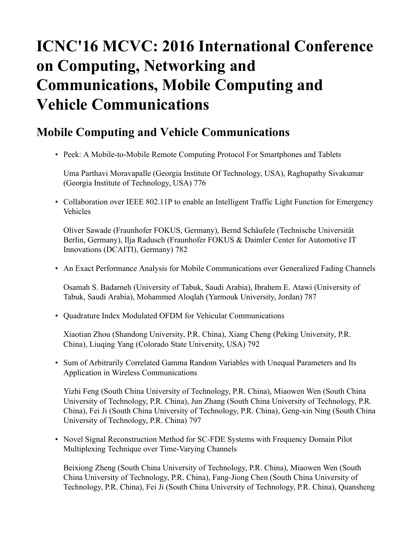### **ICNC'16 MCVC: 2016 International Conference on Computing, Networking and Communications, Mobile Computing and Vehicle Communications**

#### **Mobile Computing and Vehicle Communications**

• Peek: A Mobile-to-Mobile Remote Computing Protocol For Smartphones and Tablets

Uma Parthavi Moravapalle (Georgia Institute Of Technology, USA), Raghupathy Sivakumar (Georgia Institute of Technology, USA) 776

• Collaboration over IEEE 802.11P to enable an Intelligent Traffic Light Function for Emergency Vehicles

Oliver Sawade (Fraunhofer FOKUS, Germany), Bernd Schäufele (Technische Universität Berlin, Germany), Ilja Radusch (Fraunhofer FOKUS & Daimler Center for Automotive IT Innovations (DCAITI), Germany) 782

• An Exact Performance Analysis for Mobile Communications over Generalized Fading Channels

Osamah S. Badarneh (University of Tabuk, Saudi Arabia), Ibrahem E. Atawi (University of Tabuk, Saudi Arabia), Mohammed Aloqlah (Yarmouk University, Jordan) 787

• Quadrature Index Modulated OFDM for Vehicular Communications

Xiaotian Zhou (Shandong University, P.R. China), Xiang Cheng (Peking University, P.R. China), Liuqing Yang (Colorado State University, USA) 792

• Sum of Arbitrarily Correlated Gamma Random Variables with Unequal Parameters and Its Application in Wireless Communications

Yizhi Feng (South China University of Technology, P.R. China), Miaowen Wen (South China University of Technology, P.R. China), Jun Zhang (South China University of Technology, P.R. China), Fei Ji (South China University of Technology, P.R. China), Geng-xin Ning (South China University of Technology, P.R. China) 797

• Novel Signal Reconstruction Method for SC-FDE Systems with Frequency Domain Pilot Multiplexing Technique over Time-Varying Channels

Beixiong Zheng (South China University of Technology, P.R. China), Miaowen Wen (South China University of Technology, P.R. China), Fang-Jiong Chen (South China University of Technology, P.R. China), Fei Ji (South China University of Technology, P.R. China), Quansheng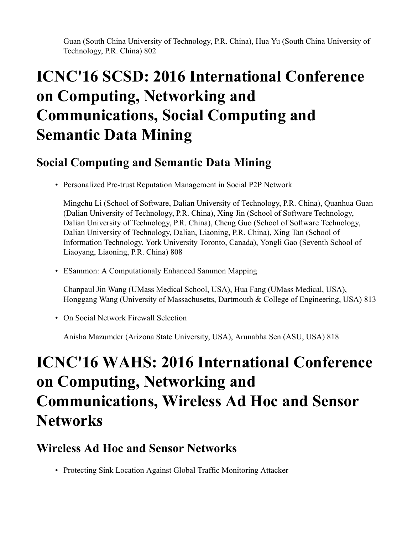Guan (South China University of Technology, P.R. China), Hua Yu (South China University of Technology, P.R. China) 802

### **ICNC'16 SCSD: 2016 International Conference on Computing, Networking and Communications, Social Computing and Semantic Data Mining**

#### **Social Computing and Semantic Data Mining**

• Personalized Pre-trust Reputation Management in Social P2P Network

Mingchu Li (School of Software, Dalian University of Technology, P.R. China), Quanhua Guan (Dalian University of Technology, P.R. China), Xing Jin (School of Software Technology, Dalian University of Technology, P.R. China), Cheng Guo (School of Software Technology, Dalian University of Technology, Dalian, Liaoning, P.R. China), Xing Tan (School of Information Technology, York University Toronto, Canada), Yongli Gao (Seventh School of Liaoyang, Liaoning, P.R. China) 808

• ESammon: A Computationaly Enhanced Sammon Mapping

Chanpaul Jin Wang (UMass Medical School, USA), Hua Fang (UMass Medical, USA), Honggang Wang (University of Massachusetts, Dartmouth & College of Engineering, USA) 813

• On Social Network Firewall Selection

Anisha Mazumder (Arizona State University, USA), Arunabha Sen (ASU, USA) 818

#### **ICNC'16 WAHS: 2016 International Conference on Computing, Networking and Communications, Wireless Ad Hoc and Sensor Networks**

#### **Wireless Ad Hoc and Sensor Networks**

• Protecting Sink Location Against Global Traffic Monitoring Attacker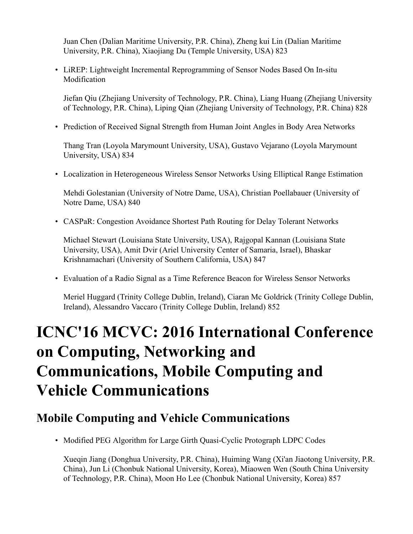Juan Chen (Dalian Maritime University, P.R. China), Zheng kui Lin (Dalian Maritime University, P.R. China), Xiaojiang Du (Temple University, USA) 823

• LiREP: Lightweight Incremental Reprogramming of Sensor Nodes Based On In-situ Modification

Jiefan Qiu (Zhejiang University of Technology, P.R. China), Liang Huang (Zhejiang University of Technology, P.R. China), Liping Qian (Zhejiang University of Technology, P.R. China) 828

• Prediction of Received Signal Strength from Human Joint Angles in Body Area Networks

Thang Tran (Loyola Marymount University, USA), Gustavo Vejarano (Loyola Marymount University, USA) 834

• Localization in Heterogeneous Wireless Sensor Networks Using Elliptical Range Estimation

Mehdi Golestanian (University of Notre Dame, USA), Christian Poellabauer (University of Notre Dame, USA) 840

• CASPaR: Congestion Avoidance Shortest Path Routing for Delay Tolerant Networks

Michael Stewart (Louisiana State University, USA), Rajgopal Kannan (Louisiana State University, USA), Amit Dvir (Ariel University Center of Samaria, Israel), Bhaskar Krishnamachari (University of Southern California, USA) 847

• Evaluation of a Radio Signal as a Time Reference Beacon for Wireless Sensor Networks

Meriel Huggard (Trinity College Dublin, Ireland), Ciaran Mc Goldrick (Trinity College Dublin, Ireland), Alessandro Vaccaro (Trinity College Dublin, Ireland) 852

## **ICNC'16 MCVC: 2016 International Conference on Computing, Networking and Communications, Mobile Computing and Vehicle Communications**

#### **Mobile Computing and Vehicle Communications**

• Modified PEG Algorithm for Large Girth Quasi-Cyclic Protograph LDPC Codes

Xueqin Jiang (Donghua University, P.R. China), Huiming Wang (Xi'an Jiaotong University, P.R. China), Jun Li (Chonbuk National University, Korea), Miaowen Wen (South China University of Technology, P.R. China), Moon Ho Lee (Chonbuk National University, Korea) 857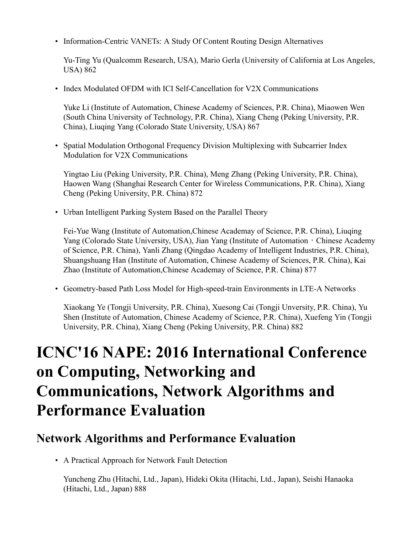• Information-Centric VANETs: A Study Of Content Routing Design Alternatives

Yu-Ting Yu (Qualcomm Research, USA), Mario Gerla (University of California at Los Angeles, USA) 862

• Index Modulated OFDM with ICI Self-Cancellation for V2X Communications

Yuke Li (Institute of Automation, Chinese Academy of Sciences, P.R. China), Miaowen Wen (South China University of Technology, P.R. China), Xiang Cheng (Peking University, P.R. China), Liuqing Yang (Colorado State University, USA) 867

• Spatial Modulation Orthogonal Frequency Division Multiplexing with Subcarrier Index Modulation for V2X Communications

Yingtao Liu (Peking University, P.R. China), Meng Zhang (Peking University, P.R. China), Haowen Wang (Shanghai Research Center for Wireless Communications, P.R. China), Xiang Cheng (Peking University, P.R. China) 872

• Urban Intelligent Parking System Based on the Parallel Theory

Fei-Yue Wang (Institute of Automation,Chinese Academay of Science, P.R. China), Liuqing Yang (Colorado State University, USA), Jian Yang (Institute of Automation, Chinese Academy of Science, P.R. China), Yanli Zhang (Qingdao Academy of Intelligent Industries, P.R. China), Shuangshuang Han (Institute of Automation, Chinese Academy of Sciences, P.R. China), Kai Zhao (Institute of Automation,Chinese Academay of Science, P.R. China) 877

• Geometry-based Path Loss Model for High-speed-train Environments in LTE-A Networks

Xiaokang Ye (Tongji University, P.R. China), Xuesong Cai (Tongji Unversity, P.R. China), Yu Shen (Institute of Automation, Chinese Academy of Science, P.R. China), Xuefeng Yin (Tongji University, P.R. China), Xiang Cheng (Peking University, P.R. China) 882

### **ICNC'16 NAPE: 2016 International Conference on Computing, Networking and Communications, Network Algorithms and Performance Evaluation**

#### **Network Algorithms and Performance Evaluation**

• A Practical Approach for Network Fault Detection

Yuncheng Zhu (Hitachi, Ltd., Japan), Hideki Okita (Hitachi, Ltd., Japan), Seishi Hanaoka (Hitachi, Ltd., Japan) 888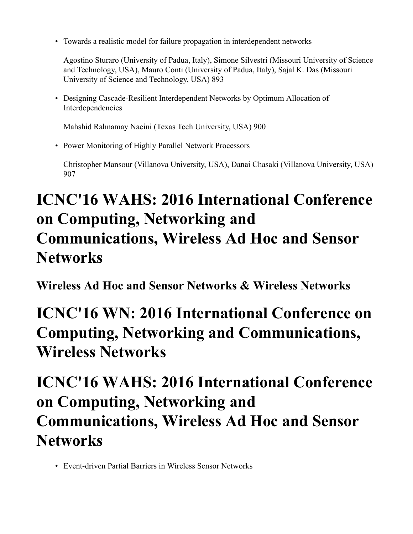• Towards a realistic model for failure propagation in interdependent networks

Agostino Sturaro (University of Padua, Italy), Simone Silvestri (Missouri University of Science and Technology, USA), Mauro Conti (University of Padua, Italy), Sajal K. Das (Missouri University of Science and Technology, USA) 893

• Designing Cascade-Resilient Interdependent Networks by Optimum Allocation of Interdependencies

Mahshid Rahnamay Naeini (Texas Tech University, USA) 900

• Power Monitoring of Highly Parallel Network Processors

Christopher Mansour (Villanova University, USA), Danai Chasaki (Villanova University, USA) 907

## **ICNC'16 WAHS: 2016 International Conference on Computing, Networking and Communications, Wireless Ad Hoc and Sensor Networks**

**Wireless Ad Hoc and Sensor Networks & Wireless Networks**

#### **ICNC'16 WN: 2016 International Conference on Computing, Networking and Communications, Wireless Networks**

### **ICNC'16 WAHS: 2016 International Conference on Computing, Networking and Communications, Wireless Ad Hoc and Sensor Networks**

• Event-driven Partial Barriers in Wireless Sensor Networks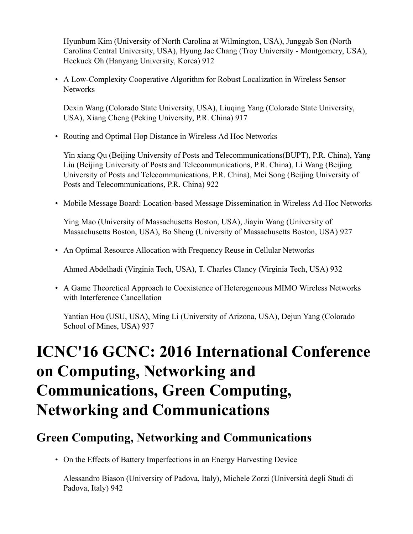Hyunbum Kim (University of North Carolina at Wilmington, USA), Junggab Son (North Carolina Central University, USA), Hyung Jae Chang (Troy University - Montgomery, USA), Heekuck Oh (Hanyang University, Korea) 912

• A Low-Complexity Cooperative Algorithm for Robust Localization in Wireless Sensor **Networks** 

Dexin Wang (Colorado State University, USA), Liuqing Yang (Colorado State University, USA), Xiang Cheng (Peking University, P.R. China) 917

• Routing and Optimal Hop Distance in Wireless Ad Hoc Networks

Yin xiang Qu (Beijing University of Posts and Telecommunications(BUPT), P.R. China), Yang Liu (Beijing University of Posts and Telecommunications, P.R. China), Li Wang (Beijing University of Posts and Telecommunications, P.R. China), Mei Song (Beijing University of Posts and Telecommunications, P.R. China) 922

• Mobile Message Board: Location-based Message Dissemination in Wireless Ad-Hoc Networks

Ying Mao (University of Massachusetts Boston, USA), Jiayin Wang (University of Massachusetts Boston, USA), Bo Sheng (University of Massachusetts Boston, USA) 927

• An Optimal Resource Allocation with Frequency Reuse in Cellular Networks

Ahmed Abdelhadi (Virginia Tech, USA), T. Charles Clancy (Virginia Tech, USA) 932

• A Game Theoretical Approach to Coexistence of Heterogeneous MIMO Wireless Networks with Interference Cancellation

Yantian Hou (USU, USA), Ming Li (University of Arizona, USA), Dejun Yang (Colorado School of Mines, USA) 937

### **ICNC'16 GCNC: 2016 International Conference on Computing, Networking and Communications, Green Computing, Networking and Communications**

#### **Green Computing, Networking and Communications**

• On the Effects of Battery Imperfections in an Energy Harvesting Device

Alessandro Biason (University of Padova, Italy), Michele Zorzi (Università degli Studi di Padova, Italy) 942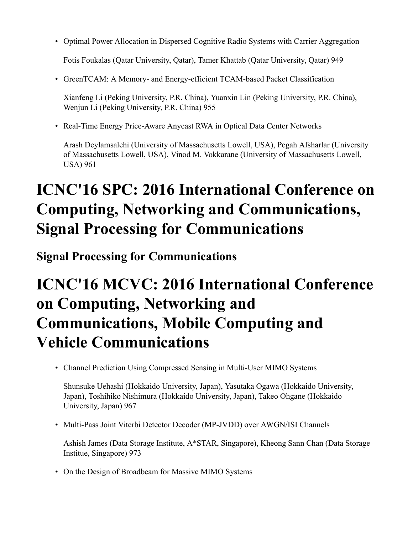• Optimal Power Allocation in Dispersed Cognitive Radio Systems with Carrier Aggregation

Fotis Foukalas (Qatar University, Qatar), Tamer Khattab (Qatar University, Qatar) 949

• GreenTCAM: A Memory- and Energy-efficient TCAM-based Packet Classification

Xianfeng Li (Peking University, P.R. China), Yuanxin Lin (Peking University, P.R. China), Wenjun Li (Peking University, P.R. China) 955

• Real-Time Energy Price-Aware Anycast RWA in Optical Data Center Networks

Arash Deylamsalehi (University of Massachusetts Lowell, USA), Pegah Afsharlar (University of Massachusetts Lowell, USA), Vinod M. Vokkarane (University of Massachusetts Lowell, USA) 961

### **ICNC'16 SPC: 2016 International Conference on Computing, Networking and Communications, Signal Processing for Communications**

**Signal Processing for Communications**

### **ICNC'16 MCVC: 2016 International Conference on Computing, Networking and Communications, Mobile Computing and Vehicle Communications**

• Channel Prediction Using Compressed Sensing in Multi-User MIMO Systems

Shunsuke Uehashi (Hokkaido University, Japan), Yasutaka Ogawa (Hokkaido University, Japan), Toshihiko Nishimura (Hokkaido University, Japan), Takeo Ohgane (Hokkaido University, Japan) 967

• Multi-Pass Joint Viterbi Detector Decoder (MP-JVDD) over AWGN/ISI Channels

Ashish James (Data Storage Institute, A\*STAR, Singapore), Kheong Sann Chan (Data Storage Institue, Singapore) 973

• On the Design of Broadbeam for Massive MIMO Systems